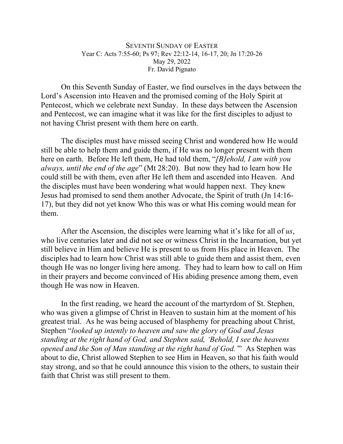## SEVENTH SUNDAY OF EASTER Year C: Acts 7:55-60; Ps 97; Rev 22:12-14, 16-17, 20; Jn 17:20-26 May 29, 2022 Fr. David Pignato

On this Seventh Sunday of Easter, we find ourselves in the days between the Lord's Ascension into Heaven and the promised coming of the Holy Spirit at Pentecost, which we celebrate next Sunday. In these days between the Ascension and Pentecost, we can imagine what it was like for the first disciples to adjust to not having Christ present with them here on earth.

The disciples must have missed seeing Christ and wondered how He would still be able to help them and guide them, if He was no longer present with them here on earth. Before He left them, He had told them, "*[B]ehold, I am with you always, until the end of the age*" (Mt 28:20). But now they had to learn how He could still be with them, even after He left them and ascended into Heaven. And the disciples must have been wondering what would happen next. They knew Jesus had promised to send them another Advocate, the Spirit of truth (Jn 14:16- 17), but they did not yet know Who this was or what His coming would mean for them.

After the Ascension, the disciples were learning what it's like for all of *us*, who live centuries later and did not see or witness Christ in the Incarnation, but yet still believe in Him and believe He is present to us from His place in Heaven. The disciples had to learn how Christ was still able to guide them and assist them, even though He was no longer living here among. They had to learn how to call on Him in their prayers and become convinced of His abiding presence among them, even though He was now in Heaven.

In the first reading, we heard the account of the martyrdom of St. Stephen, who was given a glimpse of Christ in Heaven to sustain him at the moment of his greatest trial. As he was being accused of blasphemy for preaching about Christ, Stephen "*looked up intently to heaven and saw the glory of God and Jesus standing at the right hand of God, and Stephen said, 'Behold, I see the heavens opened and the Son of Man standing at the right hand of God.'*" As Stephen was about to die, Christ allowed Stephen to see Him in Heaven, so that his faith would stay strong, and so that he could announce this vision to the others, to sustain their faith that Christ was still present to them.